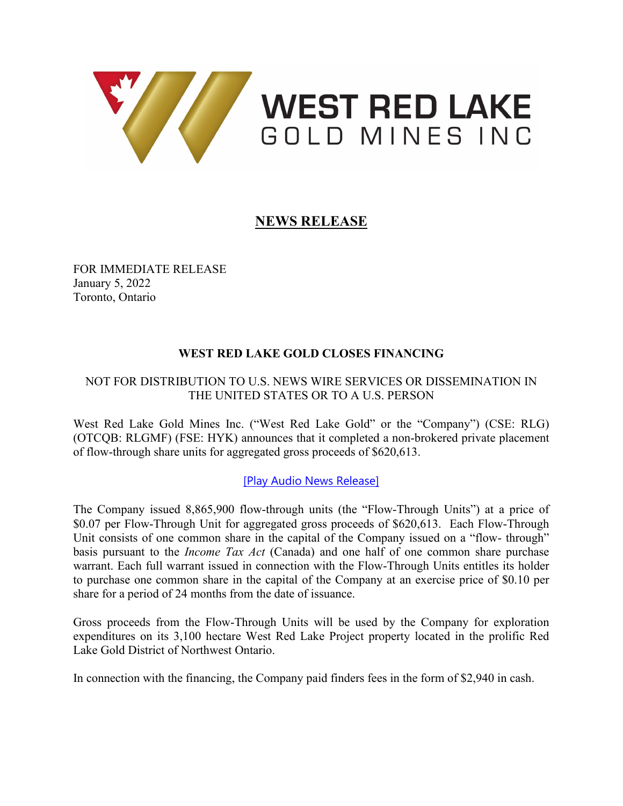

# **WEST RED LAKE** GOLD MINES INC

# **NEWS RELEASE**

FOR IMMEDIATE RELEASE January 5, 2022 Toronto, Ontario

## **WEST RED LAKE GOLD CLOSES FINANCING**

### NOT FOR DISTRIBUTION TO U.S. NEWS WIRE SERVICES OR DISSEMINATION IN THE UNITED STATES OR TO A U.S. PERSON

West Red Lake Gold Mines Inc. ("West Red Lake Gold" or the "Company") (CSE: RLG) (OTCQB: RLGMF) (FSE: HYK) announces that it completed a non-brokered private placement of flow-through share units for aggregated gross proceeds of \$620,613.

#### [Play Audio News [Release\]](https://nugget.westredlakegold.com/links/2022-01-05/az/26hjddtk83/video/wv)

The Company issued 8,865,900 flow-through units (the "Flow-Through Units") at a price of \$0.07 per Flow-Through Unit for aggregated gross proceeds of \$620,613. Each Flow-Through Unit consists of one common share in the capital of the Company issued on a "flow- through" basis pursuant to the *Income Tax Act* (Canada) and one half of one common share purchase warrant. Each full warrant issued in connection with the Flow-Through Units entitles its holder to purchase one common share in the capital of the Company at an exercise price of \$0.10 per share for a period of 24 months from the date of issuance.

Gross proceeds from the Flow-Through Units will be used by the Company for exploration expenditures on its 3,100 hectare West Red Lake Project property located in the prolific Red Lake Gold District of Northwest Ontario.

In connection with the financing, the Company paid finders fees in the form of \$2,940 in cash.